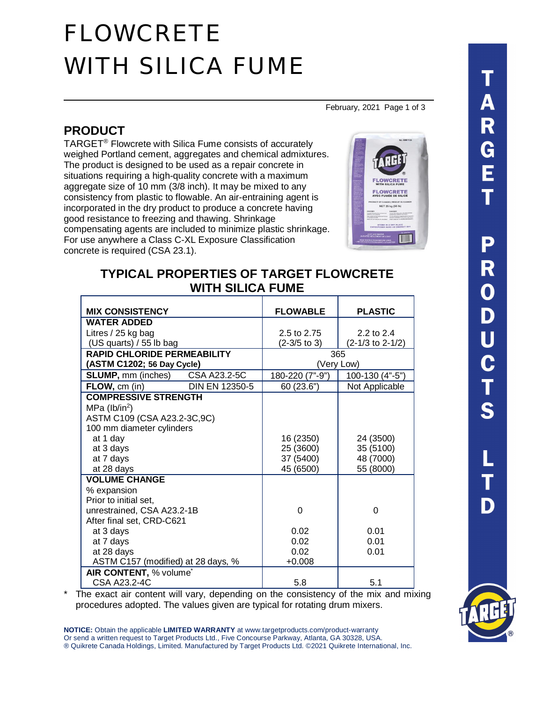# FLOWCRETE WITH SILICA FUME

February, 2021 Page 1 of 3

## **PRODUCT**

TARGET® Flowcrete with Silica Fume consists of accurately weighed Portland cement, aggregates and chemical admixtures. The product is designed to be used as a repair concrete in situations requiring a high-quality concrete with a maximum aggregate size of 10 mm (3/8 inch). It may be mixed to any consistency from plastic to flowable. An air-entraining agent is incorporated in the dry product to produce a concrete having good resistance to freezing and thawing. Shrinkage compensating agents are included to minimize plastic shrinkage. For use anywhere a Class C-XL Exposure Classification concrete is required (CSA 23.1).



## **TYPICAL PROPERTIES OF TARGET FLOWCRETE WITH SILICA FUME**

| <b>MIX CONSISTENCY</b>             |                | <b>FLOWABLE</b> | <b>PLASTIC</b>     |
|------------------------------------|----------------|-----------------|--------------------|
| <b>WATER ADDED</b>                 |                |                 |                    |
| Litres / 25 kg bag                 |                | 2.5 to 2.75     | 2.2 to 2.4         |
| (US quarts) / 55 lb bag            |                | $(2-3/5)$ to 3) | $(2-1/3$ to 2-1/2) |
| <b>RAPID CHLORIDE PERMEABILITY</b> |                | 365             |                    |
| (ASTM C1202; 56 Day Cycle)         |                | (Very Low)      |                    |
| <b>SLUMP, mm (inches)</b>          | CSA A23.2-5C   | 180-220 (7"-9") | 100-130 (4"-5")    |
| FLOW, cm (in)                      | DIN EN 12350-5 | 60 (23.6")      | Not Applicable     |
| <b>COMPRESSIVE STRENGTH</b>        |                |                 |                    |
| MPa ( $lb/in2$ )                   |                |                 |                    |
| ASTM C109 (CSA A23.2-3C, 9C)       |                |                 |                    |
| 100 mm diameter cylinders          |                |                 |                    |
| at 1 day                           |                | 16 (2350)       | 24 (3500)          |
| at 3 days                          |                | 25 (3600)       | 35 (5100)          |
| at 7 days                          |                | 37 (5400)       | 48 (7000)          |
| at 28 days                         |                | 45 (6500)       | 55 (8000)          |
| <b>VOLUME CHANGE</b>               |                |                 |                    |
| % expansion                        |                |                 |                    |
| Prior to initial set,              |                |                 |                    |
| unrestrained, CSA A23.2-1B         |                | 0               | 0                  |
| After final set, CRD-C621          |                |                 |                    |
| at 3 days                          |                | 0.02            | 0.01               |
| at 7 days                          |                | 0.02            | 0.01               |
| at 28 days                         |                | 0.02            | 0.01               |
| ASTM C157 (modified) at 28 days, % |                | $+0.008$        |                    |
| AIR CONTENT, % volume <sup>*</sup> |                |                 |                    |
| CSA A23.2-4C                       |                | 5.8             | 5.1                |

The exact air content will vary, depending on the consistency of the mix and mixing procedures adopted. The values given are typical for rotating drum mixers.

**NOTICE:** Obtain the applicable **LIMITED WARRANTY** at www.targetproducts.com/product-warranty Or send a written request to Target Products Ltd., Five Concourse Parkway, Atlanta, GA 30328, USA. ® Quikrete Canada Holdings, Limited. Manufactured by Target Products Ltd. ©2021 Quikrete International, Inc.

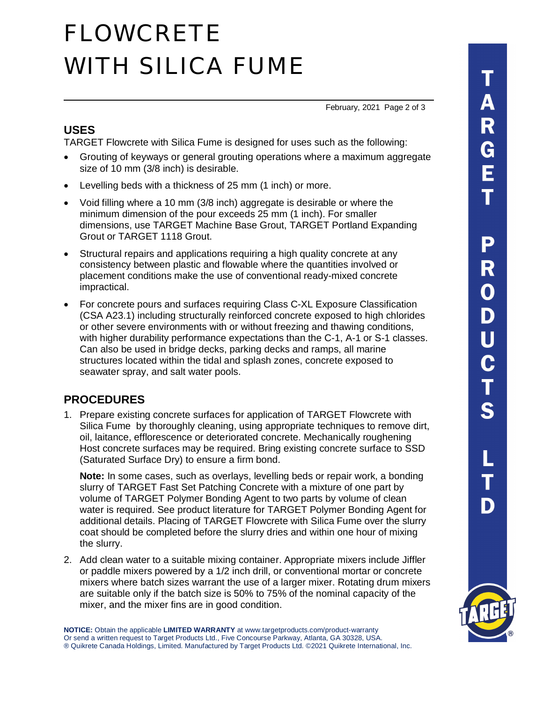# FLOWCRETE WITH SILICA FUME

February, 2021 Page 2 of 3

#### **USES**

TARGET Flowcrete with Silica Fume is designed for uses such as the following:

- · Grouting of keyways or general grouting operations where a maximum aggregate size of 10 mm (3/8 inch) is desirable.
- · Levelling beds with a thickness of 25 mm (1 inch) or more.
- · Void filling where a 10 mm (3/8 inch) aggregate is desirable or where the minimum dimension of the pour exceeds 25 mm (1 inch). For smaller dimensions, use TARGET Machine Base Grout, TARGET Portland Expanding Grout or TARGET 1118 Grout.
- Structural repairs and applications requiring a high quality concrete at any consistency between plastic and flowable where the quantities involved or placement conditions make the use of conventional ready-mixed concrete impractical.
- · For concrete pours and surfaces requiring Class C-XL Exposure Classification (CSA A23.1) including structurally reinforced concrete exposed to high chlorides or other severe environments with or without freezing and thawing conditions, with higher durability performance expectations than the C-1, A-1 or S-1 classes. Can also be used in bridge decks, parking decks and ramps, all marine structures located within the tidal and splash zones, concrete exposed to seawater spray, and salt water pools.

### **PROCEDURES**

1. Prepare existing concrete surfaces for application of TARGET Flowcrete with Silica Fume by thoroughly cleaning, using appropriate techniques to remove dirt, oil, laitance, efflorescence or deteriorated concrete. Mechanically roughening Host concrete surfaces may be required. Bring existing concrete surface to SSD (Saturated Surface Dry) to ensure a firm bond.

**Note:** In some cases, such as overlays, levelling beds or repair work, a bonding slurry of TARGET Fast Set Patching Concrete with a mixture of one part by volume of TARGET Polymer Bonding Agent to two parts by volume of clean water is required. See product literature for TARGET Polymer Bonding Agent for additional details. Placing of TARGET Flowcrete with Silica Fume over the slurry coat should be completed before the slurry dries and within one hour of mixing the slurry.

2. Add clean water to a suitable mixing container. Appropriate mixers include Jiffler or paddle mixers powered by a 1/2 inch drill, or conventional mortar or concrete mixers where batch sizes warrant the use of a larger mixer. Rotating drum mixers are suitable only if the batch size is 50% to 75% of the nominal capacity of the mixer, and the mixer fins are in good condition.

**NOTICE:** Obtain the applicable **LIMITED WARRANTY** at www.targetproducts.com/product-warranty Or send a written request to Target Products Ltd., Five Concourse Parkway, Atlanta, GA 30328, USA. ® Quikrete Canada Holdings, Limited. Manufactured by Target Products Ltd. ©2021 Quikrete International, Inc.